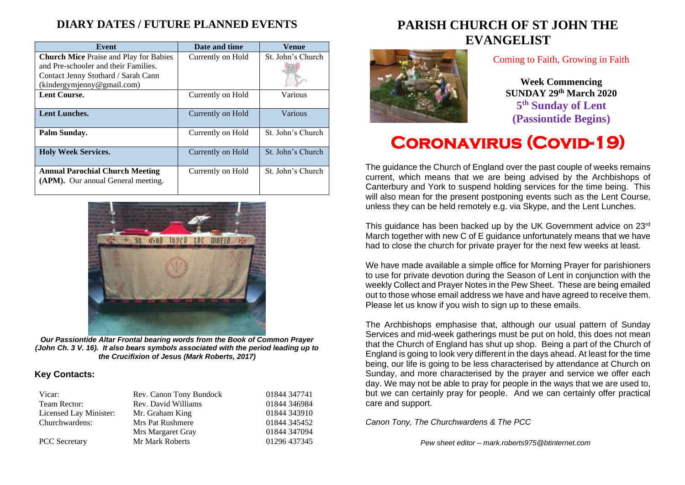## **DIARY DATES / FUTURE PLANNED EVENTS**

| Event                                                                                                                        | Date and time     | Venue             |
|------------------------------------------------------------------------------------------------------------------------------|-------------------|-------------------|
| <b>Church Mice Praise and Play for Babies</b><br>and Pre-schooler and their Families.<br>Contact Jenny Stothard / Sarah Cann | Currently on Hold | St. John's Church |
| (kindergymjenny@gmail.com)                                                                                                   |                   |                   |
| <b>Lent Course.</b>                                                                                                          | Currently on Hold | Various           |
| <b>Lent Lunches.</b>                                                                                                         | Currently on Hold | Various           |
| Palm Sunday.                                                                                                                 | Currently on Hold | St. John's Church |
| <b>Holy Week Services.</b>                                                                                                   | Currently on Hold | St. John's Church |
| <b>Annual Parochial Church Meeting</b><br>(APM). Our annual General meeting.                                                 | Currently on Hold | St. John's Church |



*Our Passiontide Altar Frontal bearing words from the Book of Common Prayer (John Ch. 3 V. 16). It also bears symbols associated with the period leading up to the Crucifixion of Jesus (Mark Roberts, 2017)*

### **Key Contacts:**

| Vicar:                 | Rev. Canon Tony Bundock | 01844 347741 |
|------------------------|-------------------------|--------------|
| Team Rector:           | Rev. David Williams     | 01844 346984 |
| Licensed Lay Minister: | Mr. Graham King         | 01844 343910 |
| Churchwardens:         | Mrs Pat Rushmere        | 01844 345452 |
|                        | Mrs Margaret Gray       | 01844 347094 |
| <b>PCC</b> Secretary   | Mr Mark Roberts         | 01296 437345 |

## **PARISH CHURCH OF ST JOHN THE EVANGELIST**



### Coming to Faith, Growing in Faith

**Week Commencing SUNDAY 29th March 2020 5 th Sunday of Lent (Passiontide Begins)**

# **Coronavirus (Covid-19)**

The guidance the Church of England over the past couple of weeks remains current, which means that we are being advised by the Archbishops of Canterbury and York to suspend holding services for the time being. This will also mean for the present postponing events such as the Lent Course. unless they can be held remotely e.g. via Skype, and the Lent Lunches.

This guidance has been backed up by the UK Government advice on 23rd March together with new C of E guidance unfortunately means that we have had to close the church for private prayer for the next few weeks at least.

We have made available a simple office for Morning Prayer for parishioners to use for private devotion during the Season of Lent in conjunction with the weekly Collect and Prayer Notes in the Pew Sheet. These are being emailed out to those whose email address we have and have agreed to receive them. Please let us know if you wish to sign up to these emails.

The Archbishops emphasise that, although our usual pattern of Sunday Services and mid-week gatherings must be put on hold, this does not mean that the Church of England has shut up shop. Being a part of the Church of England is going to look very different in the days ahead. At least for the time being, our life is going to be less characterised by attendance at Church on Sunday, and more characterised by the prayer and service we offer each day. We may not be able to pray for people in the ways that we are used to, but we can certainly pray for people. And we can certainly offer practical care and support.

*Canon Tony, The Churchwardens & The PCC*

*Pew sheet editor – mark.roberts975@btinternet.com*